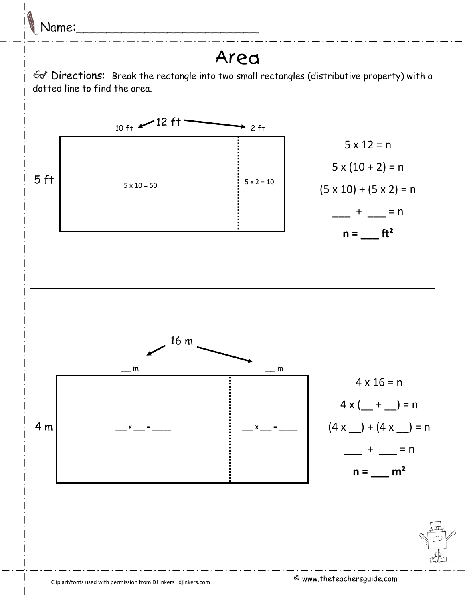

## Area

 $\mathcal{A}$  Directions: Break the rectangle into two small rectangles (distributive property) with a dotted line to find the area.